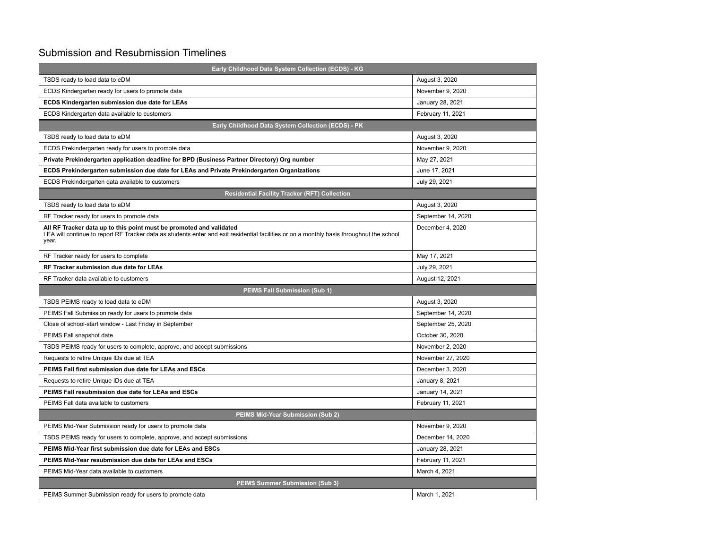## Submission and Resubmission Timelines

| Early Childhood Data System Collection (ECDS) - KG                                                                                                                                                                        |                    |  |
|---------------------------------------------------------------------------------------------------------------------------------------------------------------------------------------------------------------------------|--------------------|--|
| TSDS ready to load data to eDM                                                                                                                                                                                            | August 3, 2020     |  |
| ECDS Kindergarten ready for users to promote data                                                                                                                                                                         | November 9, 2020   |  |
| ECDS Kindergarten submission due date for LEAs                                                                                                                                                                            | January 28, 2021   |  |
| ECDS Kindergarten data available to customers                                                                                                                                                                             | February 11, 2021  |  |
| Early Childhood Data System Collection (ECDS) - PK                                                                                                                                                                        |                    |  |
| TSDS ready to load data to eDM                                                                                                                                                                                            | August 3, 2020     |  |
| ECDS Prekindergarten ready for users to promote data                                                                                                                                                                      | November 9, 2020   |  |
| Private Prekindergarten application deadline for BPD (Business Partner Directory) Org number                                                                                                                              | May 27, 2021       |  |
| ECDS Prekindergarten submission due date for LEAs and Private Prekindergarten Organizations                                                                                                                               | June 17, 2021      |  |
| ECDS Prekindergarten data available to customers                                                                                                                                                                          | July 29, 2021      |  |
| <b>Residential Facility Tracker (RFT) Collection</b>                                                                                                                                                                      |                    |  |
| TSDS ready to load data to eDM                                                                                                                                                                                            | August 3, 2020     |  |
| RF Tracker ready for users to promote data                                                                                                                                                                                | September 14, 2020 |  |
| All RF Tracker data up to this point must be promoted and validated<br>LEA will continue to report RF Tracker data as students enter and exit residential facilities or on a monthly basis throughout the school<br>year. | December 4, 2020   |  |
| RF Tracker ready for users to complete                                                                                                                                                                                    | May 17, 2021       |  |
| RF Tracker submission due date for LEAs                                                                                                                                                                                   | July 29, 2021      |  |
| RF Tracker data available to customers                                                                                                                                                                                    | August 12, 2021    |  |
| <b>PEIMS Fall Submission (Sub 1)</b>                                                                                                                                                                                      |                    |  |
| TSDS PEIMS ready to load data to eDM                                                                                                                                                                                      | August 3, 2020     |  |
| PEIMS Fall Submission ready for users to promote data                                                                                                                                                                     | September 14, 2020 |  |
| Close of school-start window - Last Friday in September                                                                                                                                                                   | September 25, 2020 |  |
| PEIMS Fall snapshot date                                                                                                                                                                                                  | October 30, 2020   |  |
| TSDS PEIMS ready for users to complete, approve, and accept submissions                                                                                                                                                   | November 2, 2020   |  |
| Requests to retire Unique IDs due at TEA                                                                                                                                                                                  | November 27, 2020  |  |
| PEIMS Fall first submission due date for LEAs and ESCs                                                                                                                                                                    | December 3, 2020   |  |
| Requests to retire Unique IDs due at TEA                                                                                                                                                                                  | January 8, 2021    |  |
| PEIMS Fall resubmission due date for LEAs and ESCs                                                                                                                                                                        | January 14, 2021   |  |
| PEIMS Fall data available to customers                                                                                                                                                                                    | February 11, 2021  |  |
| PEIMS Mid-Year Submission (Sub 2)                                                                                                                                                                                         |                    |  |
| PEIMS Mid-Year Submission ready for users to promote data                                                                                                                                                                 | November 9, 2020   |  |
| TSDS PEIMS ready for users to complete, approve, and accept submissions                                                                                                                                                   | December 14, 2020  |  |
| PEIMS Mid-Year first submission due date for LEAs and ESCs                                                                                                                                                                | January 28, 2021   |  |
| PEIMS Mid-Year resubmission due date for LEAs and ESCs                                                                                                                                                                    | February 11, 2021  |  |
| PEIMS Mid-Year data available to customers                                                                                                                                                                                | March 4, 2021      |  |
| <b>PEIMS Summer Submission (Sub 3)</b>                                                                                                                                                                                    |                    |  |
| PEIMS Summer Submission ready for users to promote data                                                                                                                                                                   | March 1, 2021      |  |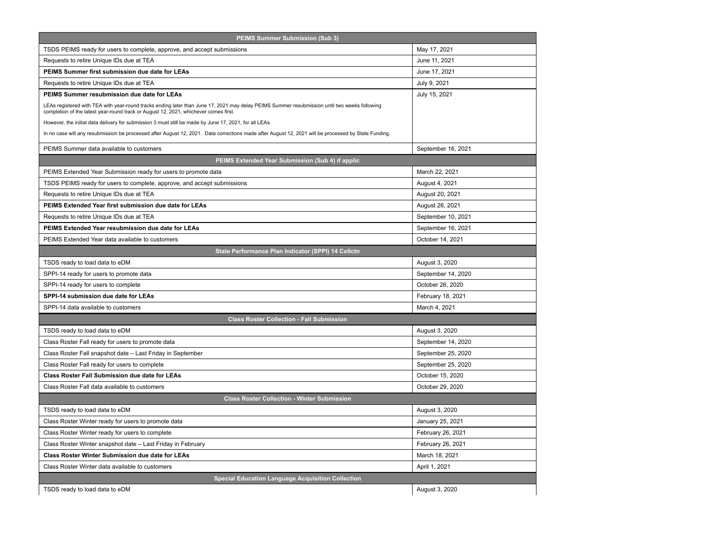| PEIMS Summer Submission (Sub 3)                                                                                                                                                                                                       |                    |  |
|---------------------------------------------------------------------------------------------------------------------------------------------------------------------------------------------------------------------------------------|--------------------|--|
| TSDS PEIMS ready for users to complete, approve, and accept submissions                                                                                                                                                               | May 17, 2021       |  |
| Requests to retire Unique IDs due at TEA                                                                                                                                                                                              | June 11, 2021      |  |
| PEIMS Summer first submission due date for LEAs                                                                                                                                                                                       | June 17, 2021      |  |
| Requests to retire Unique IDs due at TEA                                                                                                                                                                                              | July 9, 2021       |  |
| PEIMS Summer resubmission due date for LEAs                                                                                                                                                                                           | July 15, 2021      |  |
| LEAs registered with TEA with year-round tracks ending later than June 17, 2021 may delay PEIMS Summer resubmission until two weeks following<br>completion of the latest year-round track or August 12, 2021, whichever comes first. |                    |  |
| However, the initial data delivery for submission 3 must still be made by June 17, 2021, for all LEAs.                                                                                                                                |                    |  |
| In no case will any resubmission be processed after August 12, 2021. Data corrections made after August 12, 2021 will be processed by State Funding.                                                                                  |                    |  |
| PEIMS Summer data available to customers                                                                                                                                                                                              | September 16, 2021 |  |
| PEIMS Extended Year Submission (Sub 4) if applic                                                                                                                                                                                      |                    |  |
| PEIMS Extended Year Submission ready for users to promote data                                                                                                                                                                        | March 22, 2021     |  |
| TSDS PEIMS ready for users to complete, approve, and accept submissions                                                                                                                                                               | August 4, 2021     |  |
| Requests to retire Unique IDs due at TEA                                                                                                                                                                                              | August 20, 2021    |  |
| PEIMS Extended Year first submission due date for LEAs                                                                                                                                                                                | August 26, 2021    |  |
| Requests to retire Unique IDs due at TEA                                                                                                                                                                                              | September 10, 2021 |  |
| PEIMS Extended Year resubmission due date for LEAs                                                                                                                                                                                    | September 16, 2021 |  |
| PEIMS Extended Year data available to customers                                                                                                                                                                                       | October 14, 2021   |  |
| State Performance Plan Indicator (SPPI) 14 Collctn                                                                                                                                                                                    |                    |  |
| TSDS ready to load data to eDM                                                                                                                                                                                                        | August 3, 2020     |  |
| SPPI-14 ready for users to promote data                                                                                                                                                                                               | September 14, 2020 |  |
| SPPI-14 ready for users to complete                                                                                                                                                                                                   | October 26, 2020   |  |
| SPPI-14 submission due date for LEAs                                                                                                                                                                                                  | February 18, 2021  |  |
| SPPI-14 data available to customers                                                                                                                                                                                                   | March 4, 2021      |  |
| <b>Class Roster Collection - Fall Submission</b>                                                                                                                                                                                      |                    |  |
| TSDS ready to load data to eDM                                                                                                                                                                                                        | August 3, 2020     |  |
| Class Roster Fall ready for users to promote data                                                                                                                                                                                     | September 14, 2020 |  |
| Class Roster Fall snapshot date - Last Friday in September                                                                                                                                                                            | September 25, 2020 |  |
| Class Roster Fall ready for users to complete                                                                                                                                                                                         | September 25, 2020 |  |
| <b>Class Roster Fall Submission due date for LEAs</b>                                                                                                                                                                                 | October 15, 2020   |  |
| Class Roster Fall data available to customers                                                                                                                                                                                         | October 29, 2020   |  |
| <b>Class Roster Collection - Winter Submission</b>                                                                                                                                                                                    |                    |  |
| TSDS ready to load data to eDM                                                                                                                                                                                                        | August 3, 2020     |  |
| Class Roster Winter ready for users to promote data                                                                                                                                                                                   | January 25, 2021   |  |
| Class Roster Winter ready for users to complete                                                                                                                                                                                       | February 26, 2021  |  |
| Class Roster Winter snapshot date - Last Friday in February                                                                                                                                                                           | February 26, 2021  |  |
| <b>Class Roster Winter Submission due date for LEAs</b>                                                                                                                                                                               | March 18, 2021     |  |
| Class Roster Winter data available to customers                                                                                                                                                                                       | April 1, 2021      |  |
| <b>Special Education Language Acquisition Collection</b>                                                                                                                                                                              |                    |  |
| TSDS ready to load data to eDM                                                                                                                                                                                                        | August 3, 2020     |  |